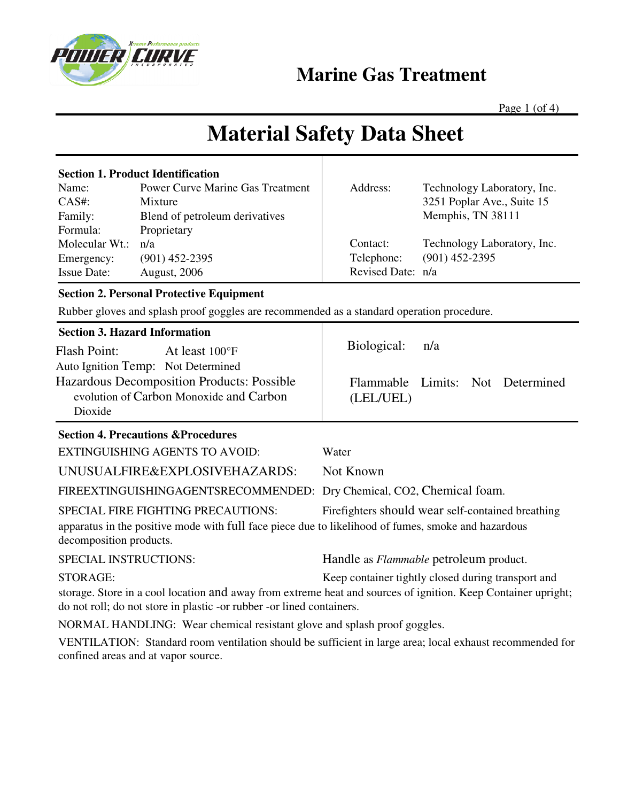

### **Marine Gas Treatment**

Page  $1$  (of  $4$ )

# **Material Safety Data Sheet**

| <b>Section 1. Product Identification</b> |                                         |                   |                             |
|------------------------------------------|-----------------------------------------|-------------------|-----------------------------|
| Name:                                    | <b>Power Curve Marine Gas Treatment</b> | Address:          | Technology Laboratory, Inc. |
| $CAS#$ :                                 | Mixture                                 |                   | 3251 Poplar Ave., Suite 15  |
| Family:                                  | Blend of petroleum derivatives          |                   | Memphis, TN 38111           |
| Formula:                                 | Proprietary                             |                   |                             |
| Molecular Wt.:                           | n/a                                     | Contact:          | Technology Laboratory, Inc. |
| Emergency:                               | $(901)$ 452-2395                        | Telephone:        | $(901)$ 452-2395            |
| <b>Issue Date:</b>                       | <b>August, 2006</b>                     | Revised Date: n/a |                             |

#### **Section 2. Personal Protective Equipment**

Rubber gloves and splash proof goggles are recommended as a standard operation procedure.

| <b>Section 3. Hazard Information</b> |  |
|--------------------------------------|--|
|--------------------------------------|--|

Flash Point: At least 100°F Auto Ignition Temp: Not Determined Hazardous Decomposition Products: Possible evolution of Carbon Monoxide and Carbon Dioxide

#### **Section 4. Precautions &Procedures**

EXTINGUISHING AGENTS TO AVOID: Water UNUSUALFIRE&EXPLOSIVEHAZARDS: Not Known

FIREEXTINGUISHINGAGENTSRECOMMENDED: Dry Chemical, CO2, Chemical foam.

SPECIAL FIRE FIGHTING PRECAUTIONS: Firefighters should wear self-contained breathing apparatus in the positive mode with full face piece due to likelihood of fumes, smoke and hazardous decomposition products.

SPECIAL INSTRUCTIONS: Handle as *Flammable* petroleum product.

Biological: n/a

(LEL/UEL)

Flammable Limits: Not Determined

STORAGE: Keep container tightly closed during transport and

storage. Store in a cool location and away from extreme heat and sources of ignition. Keep Container upright; do not roll; do not store in plastic -or rubber -or lined containers.

NORMAL HANDLING: Wear chemical resistant glove and splash proof goggles.

VENTILATION: Standard room ventilation should be sufficient in large area; local exhaust recommended for confined areas and at vapor source.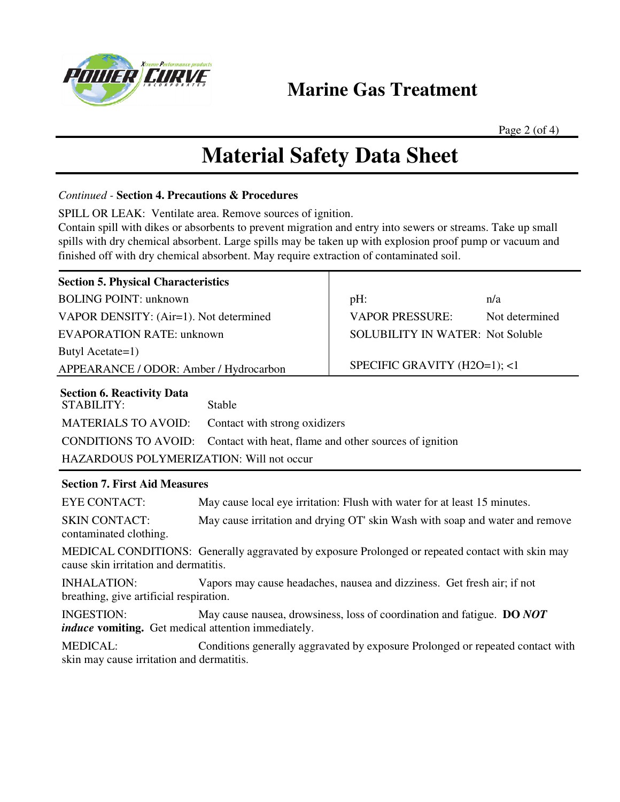

### **Marine Gas Treatment**

Page 2 (of 4)

### **Material Safety Data Sheet**

*Continued -* **Section 4. Precautions & Procedures** 

SPILL OR LEAK: Ventilate area. Remove sources of ignition.

Contain spill with dikes or absorbents to prevent migration and entry into sewers or streams. Take up small spills with dry chemical absorbent. Large spills may be taken up with explosion proof pump or vacuum and finished off with dry chemical absorbent. May require extraction of contaminated soil.

| <b>Section 5. Physical Characteristics</b>                                                                                                                                                                               |                                                                              |                                         |                |  |  |
|--------------------------------------------------------------------------------------------------------------------------------------------------------------------------------------------------------------------------|------------------------------------------------------------------------------|-----------------------------------------|----------------|--|--|
| <b>BOLING POINT: unknown</b>                                                                                                                                                                                             |                                                                              | pH:                                     | n/a            |  |  |
| VAPOR DENSITY: (Air=1). Not determined                                                                                                                                                                                   |                                                                              | <b>VAPOR PRESSURE:</b>                  | Not determined |  |  |
| <b>EVAPORATION RATE: unknown</b>                                                                                                                                                                                         |                                                                              | <b>SOLUBILITY IN WATER: Not Soluble</b> |                |  |  |
| Butyl Acetate=1)                                                                                                                                                                                                         |                                                                              |                                         |                |  |  |
| APPEARANCE / ODOR: Amber / Hydrocarbon                                                                                                                                                                                   |                                                                              | SPECIFIC GRAVITY (H2O=1); <1            |                |  |  |
| <b>Section 6. Reactivity Data</b><br><b>STABILITY:</b><br>Stable<br><b>MATERIALS TO AVOID:</b><br>Contact with strong oxidizers<br><b>CONDITIONS TO AVOID:</b><br>Contact with heat, flame and other sources of ignition |                                                                              |                                         |                |  |  |
| HAZARDOUS POLYMERIZATION: Will not occur                                                                                                                                                                                 |                                                                              |                                         |                |  |  |
| <b>Section 7. First Aid Measures</b>                                                                                                                                                                                     |                                                                              |                                         |                |  |  |
| <b>EYE CONTACT:</b>                                                                                                                                                                                                      | May cause local eye irritation: Flush with water for at least 15 minutes.    |                                         |                |  |  |
| <b>SKIN CONTACT:</b><br>contaminated clothing.                                                                                                                                                                           | May cause irritation and drying OT' skin Wash with soap and water and remove |                                         |                |  |  |
| MEDICAL CONDITIONS: Generally aggravated by exposure Prolonged or repeated contact with skin may<br>cause skin irritation and dermatitis.                                                                                |                                                                              |                                         |                |  |  |
| <b>INHALATION:</b><br>breathing, give artificial respiration.                                                                                                                                                            | Vapors may cause headaches, nausea and dizziness. Get fresh air; if not      |                                         |                |  |  |
| <b>INGESTION:</b><br>May cause nausea, drowsiness, loss of coordination and fatigue. DO NOT<br><i>induce</i> vomiting. Get medical attention immediately.                                                                |                                                                              |                                         |                |  |  |
| <b>MEDICAL:</b><br>Conditions generally aggravated by exposure Prolonged or repeated contact with<br>skin may cause irritation and dermatitis.                                                                           |                                                                              |                                         |                |  |  |
|                                                                                                                                                                                                                          |                                                                              |                                         |                |  |  |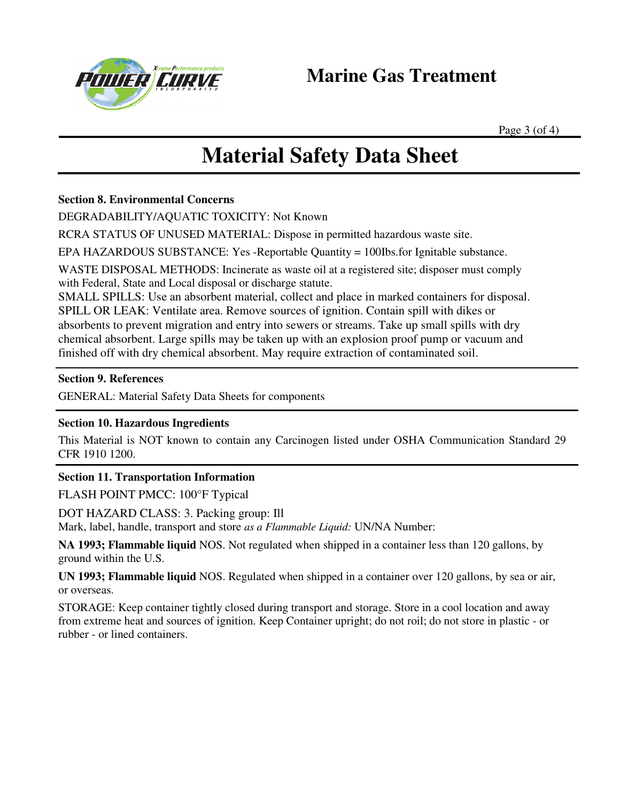

Page 3 (of 4)

# **Material Safety Data Sheet**

#### **Section 8. Environmental Concerns**

DEGRADABILITY/AQUATIC TOXICITY: Not Known

RCRA STATUS OF UNUSED MATERIAL: Dispose in permitted hazardous waste site.

EPA HAZARDOUS SUBSTANCE: Yes -Reportable Quantity = 100Ibs.for Ignitable substance.

WASTE DISPOSAL METHODS: Incinerate as waste oil at a registered site; disposer must comply with Federal, State and Local disposal or discharge statute.

SMALL SPILLS: Use an absorbent material, collect and place in marked containers for disposal. SPILL OR LEAK: Ventilate area. Remove sources of ignition. Contain spill with dikes or absorbents to prevent migration and entry into sewers or streams. Take up small spills with dry chemical absorbent. Large spills may be taken up with an explosion proof pump or vacuum and finished off with dry chemical absorbent. May require extraction of contaminated soil.

#### **Section 9. References**

GENERAL: Material Safety Data Sheets for components

#### **Section 10. Hazardous Ingredients**

This Material is NOT known to contain any Carcinogen listed under OSHA Communication Standard 29 CFR 1910 1200.

#### **Section 11. Transportation Information**

FLASH POINT PMCC: 100°F Typical

DOT HAZARD CLASS: 3. Packing group: Ill

Mark, label, handle, transport and store *as a Flammable Liquid:* UN/NA Number:

**NA 1993; Flammable liquid** NOS. Not regulated when shipped in a container less than 120 gallons, by ground within the U.S.

**UN 1993; Flammable liquid** NOS. Regulated when shipped in a container over 120 gallons, by sea or air, or overseas.

STORAGE: Keep container tightly closed during transport and storage. Store in a cool location and away from extreme heat and sources of ignition. Keep Container upright; do not roil; do not store in plastic - or rubber - or lined containers.